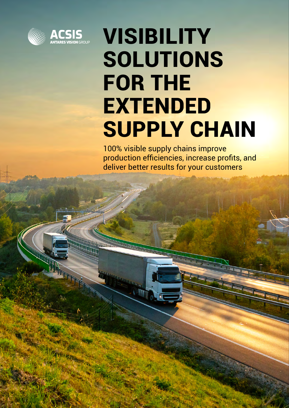



## VISIBILITY SOLUTIONS FOR THE EXTENDED **SUPPLY CHAIN**

100% visible supply chains improve production efficiencies, increase profits, and deliver better results for your customers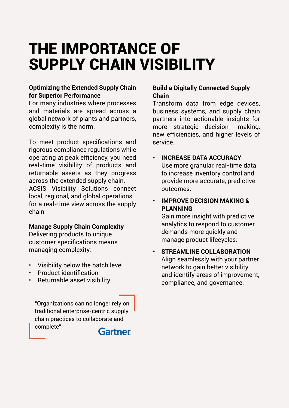## THE IMPORTANCE OF SUPPLY CHAIN VISIBILITY

#### **Optimizing the Extended Supply Chain for Superior Performance**

For many industries where processes and materials are spread across a global network of plants and partners, complexity is the norm.

To meet product specifications and rigorous compliance regulations while operating at peak efficiency, you need real-time visibility of products and returnable assets as they progress across the extended supply chain. ACSIS Visibility Solutions connect local, regional, and global operations for a real-time view across the supply chain

#### **Manage Supply Chain Complexity**

Delivering products to unique customer specifications means managing complexity:

- Visibility below the batch level
- Product identification
- Returnable asset visibility

"Organizations can no longer rely on traditional enterprise-centric supply chain practices to collaborate and complete"



#### **Build a Digitally Connected Supply Chain**

Transform data from edge devices, business systems, and supply chain partners into actionable insights for more strategic decision- making, new efficiencies, and higher levels of service.

#### **• INCREASE DATA ACCURACY**  Use more granular, real-time data to increase inventory control and provide more accurate, predictive outcomes.

#### **• IMPROVE DECISION MAKING & PLANNING**

Gain more insight with predictive analytics to respond to customer demands more quickly and manage product lifecycles.

#### **• STREAMLINE COLLABORATION** Align seamlessly with your partner network to gain better visibility and identify areas of improvement, compliance, and governance.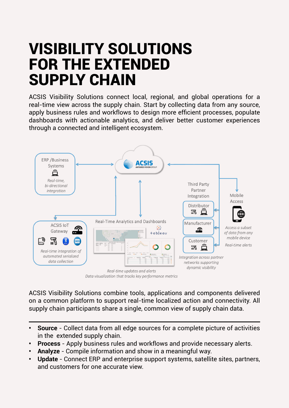## VISIBILITY SOLUTIONS FOR THE EXTENDED SUPPLY CHAIN

ACSIS Visibility Solutions connect local, regional, and global operations for a real-time view across the supply chain. Start by collecting data from any source, apply business rules and workflows to design more efficient processes, populate dashboards with actionable analytics, and deliver better customer experiences through a connected and intelligent ecosystem.



Data visualization that tracks key performance metrics

ACSIS Visibility Solutions combine tools, applications and components delivered on a common platform to support real-time localized action and connectivity. All supply chain participants share a single, common view of supply chain data.

- **• Source** Collect data from all edge sources for a complete picture of activities in the extended supply chain.
- **• Process** Apply business rules and workflows and provide necessary alerts.
- **• Analyze** Compile information and show in a meaningful way.
- **• Update** Connect ERP and enterprise support systems, satellite sites, partners, and customers for one accurate view.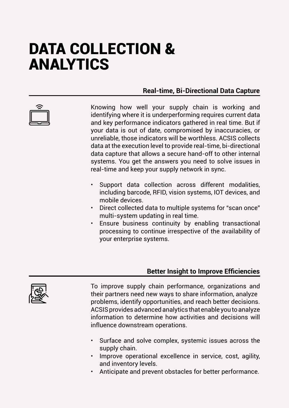## DATA COLLECTION & ANALYTICS

#### **Real-time, Bi-Directional Data Capture**

Knowing how well your supply chain is working and identifying where it is underperforming requires current data and key performance indicators gathered in real time. But if your data is out of date, compromised by inaccuracies, or unreliable, those indicators will be worthless. ACSIS collects data at the execution level to provide real-time, bi-directional data capture that allows a secure hand-off to other internal systems. You get the answers you need to solve issues in real-time and keep your supply network in sync.

- Support data collection across different modalities, including barcode, RFID, vision systems, IOT devices, and mobile devices.
- Direct collected data to multiple systems for "scan once" multi-system updating in real time.
- Ensure business continuity by enabling transactional processing to continue irrespective of the availability of your enterprise systems.

#### **Better Insight to Improve Efficiencies**



To improve supply chain performance, organizations and their partners need new ways to share information, analyze problems, identify opportunities, and reach better decisions. ACSIS provides advanced analytics that enable you to analyze information to determine how activities and decisions will influence downstream operations.

- Surface and solve complex, systemic issues across the supply chain.
- Improve operational excellence in service, cost, agility, and inventory levels.
- Anticipate and prevent obstacles for better performance.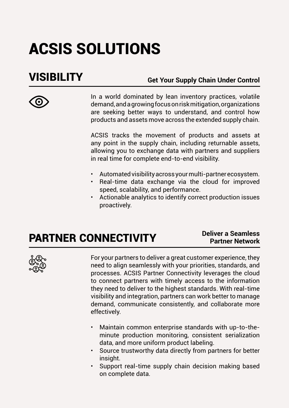## ACSIS SOLUTIONS

### VISIBILITY

**Get Your Supply Chain Under Control**

In a world dominated by lean inventory practices, volatile demand, and a growing focus on risk mitigation, organizations are seeking better ways to understand, and control how products and assets move across the extended supply chain.

ACSIS tracks the movement of products and assets at any point in the supply chain, including returnable assets, allowing you to exchange data with partners and suppliers in real time for complete end-to-end visibility.

- Automated visibility across your multi-partner ecosystem.
- Real-time data exchange via the cloud for improved speed, scalability, and performance.
- Actionable analytics to identify correct production issues proactively.

## PARTNER CONNECTIVITY

#### **Deliver a Seamless Partner Network**



For your partners to deliver a great customer experience, they need to align seamlessly with your priorities, standards, and processes. ACSIS Partner Connectivity leverages the cloud to connect partners with timely access to the information they need to deliver to the highest standards. With real-time visibility and integration, partners can work better to manage demand, communicate consistently, and collaborate more effectively.

- Maintain common enterprise standards with up-to-theminute production monitoring, consistent serialization data, and more uniform product labeling.
- Source trustworthy data directly from partners for better insight.
- Support real-time supply chain decision making based on complete data.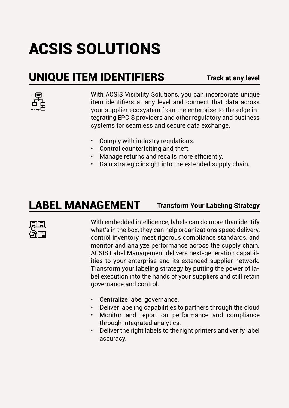## ACSIS SOLUTIONS

### UNIQUE ITEM IDENTIFIERS

**Track at any level**



With ACSIS Visibility Solutions, you can incorporate unique item identifiers at any level and connect that data across your supplier ecosystem from the enterprise to the edge integrating EPCIS providers and other regulatory and business systems for seamless and secure data exchange.

- Comply with industry regulations.
- Control counterfeiting and theft.
- Manage returns and recalls more efficiently.
- Gain strategic insight into the extended supply chain.

### LABEL MANAGEMENT

#### **Transform Your Labeling Strategy**



With embedded intelligence, labels can do more than identify what's in the box, they can help organizations speed delivery, control inventory, meet rigorous compliance standards, and monitor and analyze performance across the supply chain. ACSIS Label Management delivers next-generation capabilities to your enterprise and its extended supplier network. Transform your labeling strategy by putting the power of label execution into the hands of your suppliers and still retain governance and control.

- Centralize label governance.
- Deliver labeling capabilities to partners through the cloud
- Monitor and report on performance and compliance through integrated analytics.
- Deliver the right labels to the right printers and verify label accuracy.